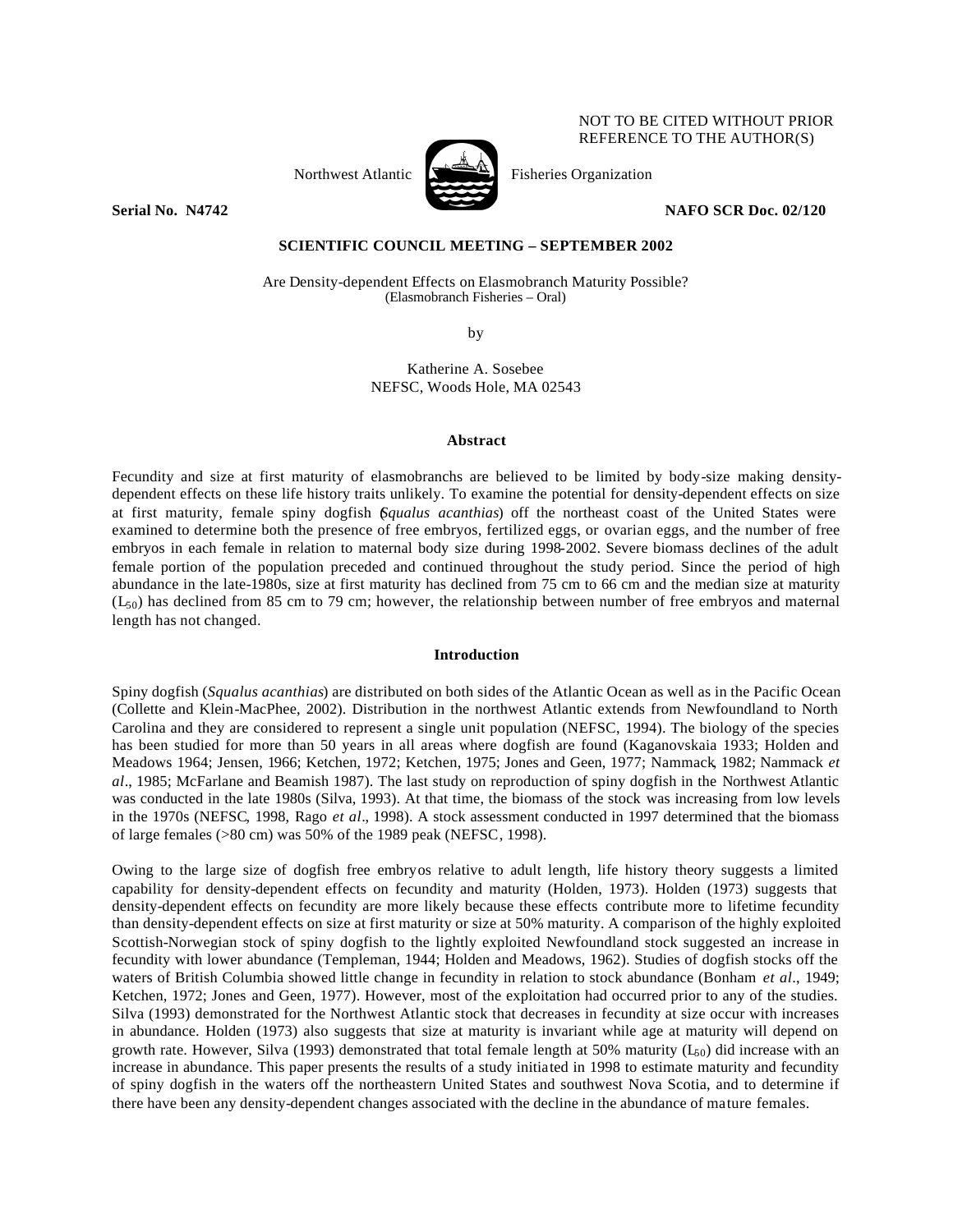Northwest Atlantic  $\begin{bmatrix} 1 & 1 \\ 1 & 1 \end{bmatrix}$  Fisheries Organization



NOT TO BE CITED WITHOUT PRIOR REFERENCE TO THE AUTHOR(S)

**Serial No. 24742 NAFO SCR Doc. 02/120** 

# **SCIENTIFIC COUNCIL MEETING – SEPTEMBER 2002**

Are Density-dependent Effects on Elasmobranch Maturity Possible? (Elasmobranch Fisheries – Oral)

by

Katherine A. Sosebee NEFSC, Woods Hole, MA 02543

## **Abstract**

Fecundity and size at first maturity of elasmobranchs are believed to be limited by body-size making densitydependent effects on these life history traits unlikely. To examine the potential for density-dependent effects on size at first maturity, female spiny dogfish (*Squalus acanthias*) off the northeast coast of the United States were examined to determine both the presence of free embryos, fertilized eggs, or ovarian eggs, and the number of free embryos in each female in relation to maternal body size during 1998-2002. Severe biomass declines of the adult female portion of the population preceded and continued throughout the study period. Since the period of high abundance in the late-1980s, size at first maturity has declined from 75 cm to 66 cm and the median size at maturity  $(L<sub>50</sub>)$  has declined from 85 cm to 79 cm; however, the relationship between number of free embryos and maternal length has not changed.

# **Introduction**

Spiny dogfish (*Squalus acanthias*) are distributed on both sides of the Atlantic Ocean as well as in the Pacific Ocean (Collette and Klein-MacPhee, 2002). Distribution in the northwest Atlantic extends from Newfoundland to North Carolina and they are considered to represent a single unit population (NEFSC, 1994). The biology of the species has been studied for more than 50 years in all areas where dogfish are found (Kaganovskaia 1933; Holden and Meadows 1964; Jensen, 1966; Ketchen, 1972; Ketchen, 1975; Jones and Geen, 1977; Nammack, 1982; Nammack *et al*., 1985; McFarlane and Beamish 1987). The last study on reproduction of spiny dogfish in the Northwest Atlantic was conducted in the late 1980s (Silva, 1993). At that time, the biomass of the stock was increasing from low levels in the 1970s (NEFSC, 1998, Rago *et al*., 1998). A stock assessment conducted in 1997 determined that the biomass of large females (>80 cm) was 50% of the 1989 peak (NEFSC, 1998).

Owing to the large size of dogfish free embryos relative to adult length, life history theory suggests a limited capability for density-dependent effects on fecundity and maturity (Holden, 1973). Holden (1973) suggests that density-dependent effects on fecundity are more likely because these effects contribute more to lifetime fecundity than density-dependent effects on size at first maturity or size at 50% maturity. A comparison of the highly exploited Scottish-Norwegian stock of spiny dogfish to the lightly exploited Newfoundland stock suggested an increase in fecundity with lower abundance (Templeman, 1944; Holden and Meadows, 1962). Studies of dogfish stocks off the waters of British Columbia showed little change in fecundity in relation to stock abundance (Bonham *et al*., 1949; Ketchen, 1972; Jones and Geen, 1977). However, most of the exploitation had occurred prior to any of the studies. Silva (1993) demonstrated for the Northwest Atlantic stock that decreases in fecundity at size occur with increases in abundance. Holden (1973) also suggests that size at maturity is invariant while age at maturity will depend on growth rate. However, Silva (1993) demonstrated that total female length at 50% maturity ( $L_{50}$ ) did increase with an increase in abundance. This paper presents the results of a study initiated in 1998 to estimate maturity and fecundity of spiny dogfish in the waters off the northeastern United States and southwest Nova Scotia, and to determine if there have been any density-dependent changes associated with the decline in the abundance of mature females.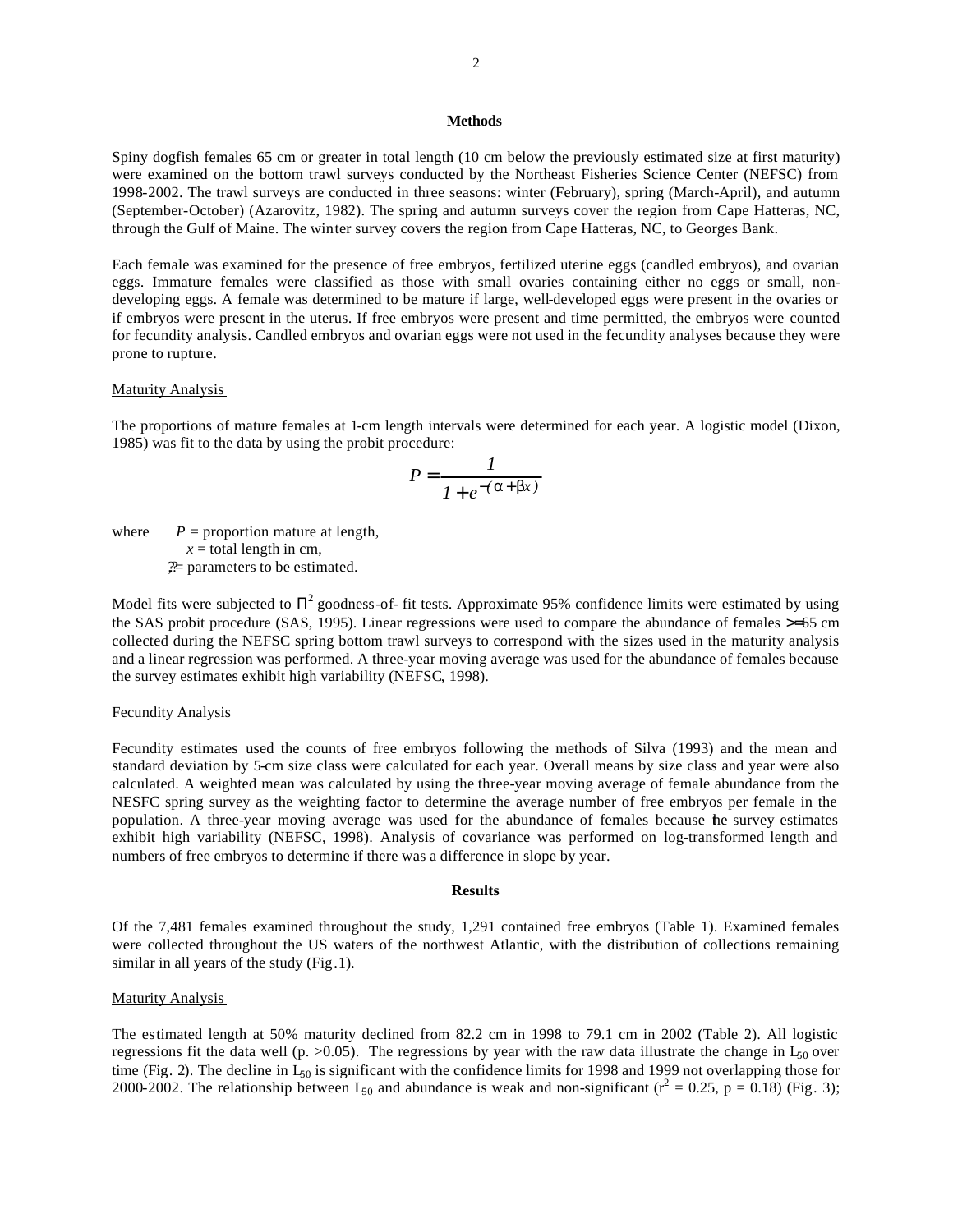## **Methods**

Spiny dogfish females 65 cm or greater in total length (10 cm below the previously estimated size at first maturity) were examined on the bottom trawl surveys conducted by the Northeast Fisheries Science Center (NEFSC) from 1998-2002. The trawl surveys are conducted in three seasons: winter (February), spring (March-April), and autumn (September-October) (Azarovitz, 1982). The spring and autumn surveys cover the region from Cape Hatteras, NC, through the Gulf of Maine. The winter survey covers the region from Cape Hatteras, NC, to Georges Bank.

Each female was examined for the presence of free embryos, fertilized uterine eggs (candled embryos), and ovarian eggs. Immature females were classified as those with small ovaries containing either no eggs or small, nondeveloping eggs. A female was determined to be mature if large, well-developed eggs were present in the ovaries or if embryos were present in the uterus. If free embryos were present and time permitted, the embryos were counted for fecundity analysis. Candled embryos and ovarian eggs were not used in the fecundity analyses because they were prone to rupture.

### Maturity Analysis

The proportions of mature females at 1-cm length intervals were determined for each year. A logistic model (Dixon, 1985) was fit to the data by using the probit procedure:

$$
P = \frac{1}{1 + e^{-(\mathbf{a} + \mathbf{b}x)}}
$$

where  $P =$  proportion mature at length,  $x =$  total length in cm,  $\mathcal{P}$  parameters to be estimated.

Model fits were subjected to  $\Pi^2$  goodness-of- fit tests. Approximate 95% confidence limits were estimated by using the SAS probit procedure (SAS, 1995). Linear regressions were used to compare the abundance of females >=65 cm collected during the NEFSC spring bottom trawl surveys to correspond with the sizes used in the maturity analysis and a linear regression was performed. A three-year moving average was used for the abundance of females because the survey estimates exhibit high variability (NEFSC, 1998).

## Fecundity Analysis

Fecundity estimates used the counts of free embryos following the methods of Silva (1993) and the mean and standard deviation by 5-cm size class were calculated for each year. Overall means by size class and year were also calculated. A weighted mean was calculated by using the three-year moving average of female abundance from the NESFC spring survey as the weighting factor to determine the average number of free embryos per female in the population. A three-year moving average was used for the abundance of females because the survey estimates exhibit high variability (NEFSC, 1998). Analysis of covariance was performed on log-transformed length and numbers of free embryos to determine if there was a difference in slope by year.

#### **Results**

Of the 7,481 females examined throughout the study, 1,291 contained free embryos (Table 1). Examined females were collected throughout the US waters of the northwest Atlantic, with the distribution of collections remaining similar in all years of the study (Fig.1).

# **Maturity Analysis**

The estimated length at 50% maturity declined from 82.2 cm in 1998 to 79.1 cm in 2002 (Table 2). All logistic regressions fit the data well (p.  $>0.05$ ). The regressions by year with the raw data illustrate the change in  $L_{50}$  over time (Fig. 2). The decline in  $L_{50}$  is significant with the confidence limits for 1998 and 1999 not overlapping those for 2000-2002. The relationship between  $L_{50}$  and abundance is weak and non-significant ( $r^2 = 0.25$ ,  $p = 0.18$ ) (Fig. 3);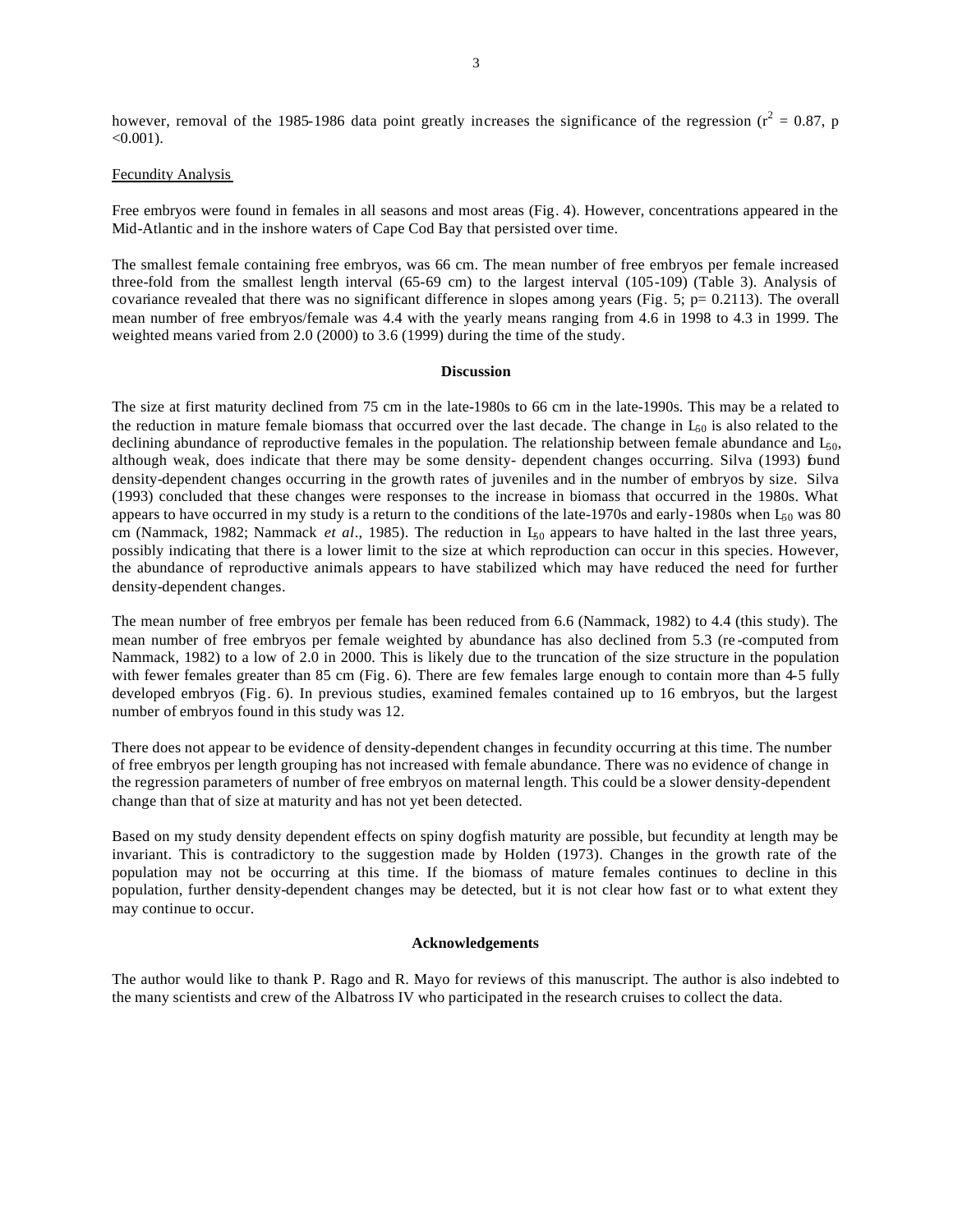however, removal of the 1985-1986 data point greatly increases the significance of the regression ( $r^2 = 0.87$ , p  $<0.001$ ).

## Fecundity Analysis

Free embryos were found in females in all seasons and most areas (Fig. 4). However, concentrations appeared in the Mid-Atlantic and in the inshore waters of Cape Cod Bay that persisted over time.

The smallest female containing free embryos, was 66 cm. The mean number of free embryos per female increased three-fold from the smallest length interval (65-69 cm) to the largest interval (105-109) (Table 3). Analysis of covariance revealed that there was no significant difference in slopes among years (Fig. 5; p= 0.2113). The overall mean number of free embryos/female was 4.4 with the yearly means ranging from 4.6 in 1998 to 4.3 in 1999. The weighted means varied from 2.0 (2000) to 3.6 (1999) during the time of the study.

### **Discussion**

The size at first maturity declined from 75 cm in the late-1980s to 66 cm in the late-1990s. This may be a related to the reduction in mature female biomass that occurred over the last decade. The change in  $L_{50}$  is also related to the declining abundance of reproductive females in the population. The relationship between female abundance and  $L_{60}$ , although weak, does indicate that there may be some density- dependent changes occurring. Silva (1993) found density-dependent changes occurring in the growth rates of juveniles and in the number of embryos by size. Silva (1993) concluded that these changes were responses to the increase in biomass that occurred in the 1980s. What appears to have occurred in my study is a return to the conditions of the late-1970s and early-1980s when  $L_{50}$  was 80 cm (Nammack, 1982; Nammack *et al.*, 1985). The reduction in L<sub>50</sub> appears to have halted in the last three years, possibly indicating that there is a lower limit to the size at which reproduction can occur in this species. However, the abundance of reproductive animals appears to have stabilized which may have reduced the need for further density-dependent changes.

The mean number of free embryos per female has been reduced from 6.6 (Nammack, 1982) to 4.4 (this study). The mean number of free embryos per female weighted by abundance has also declined from 5.3 (re -computed from Nammack, 1982) to a low of 2.0 in 2000. This is likely due to the truncation of the size structure in the population with fewer females greater than 85 cm (Fig. 6). There are few females large enough to contain more than 4-5 fully developed embryos (Fig. 6). In previous studies, examined females contained up to 16 embryos, but the largest number of embryos found in this study was 12.

There does not appear to be evidence of density-dependent changes in fecundity occurring at this time. The number of free embryos per length grouping has not increased with female abundance. There was no evidence of change in the regression parameters of number of free embryos on maternal length. This could be a slower density-dependent change than that of size at maturity and has not yet been detected.

Based on my study density dependent effects on spiny dogfish maturity are possible, but fecundity at length may be invariant. This is contradictory to the suggestion made by Holden (1973). Changes in the growth rate of the population may not be occurring at this time. If the biomass of mature females continues to decline in this population, further density-dependent changes may be detected, but it is not clear how fast or to what extent they may continue to occur.

### **Acknowledgements**

The author would like to thank P. Rago and R. Mayo for reviews of this manuscript. The author is also indebted to the many scientists and crew of the Albatross IV who participated in the research cruises to collect the data.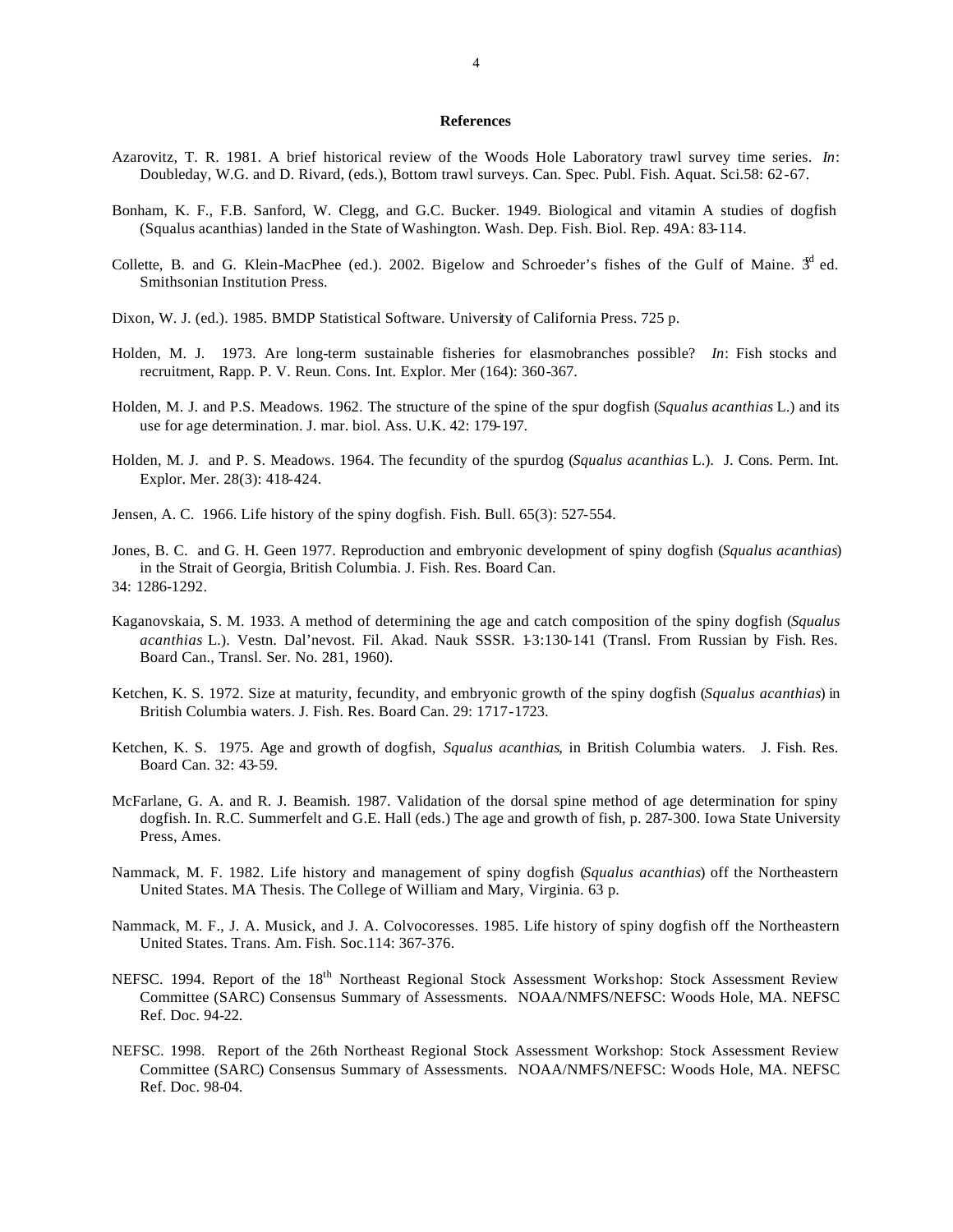## **References**

- Azarovitz, T. R. 1981. A brief historical review of the Woods Hole Laboratory trawl survey time series. *In*: Doubleday, W.G. and D. Rivard, (eds.), Bottom trawl surveys. Can. Spec. Publ. Fish. Aquat. Sci.58: 62-67.
- Bonham, K. F., F.B. Sanford, W. Clegg, and G.C. Bucker. 1949. Biological and vitamin A studies of dogfish (Squalus acanthias) landed in the State of Washington. Wash. Dep. Fish. Biol. Rep. 49A: 83-114.
- Collette, B. and G. Klein-MacPhee (ed.). 2002. Bigelow and Schroeder's fishes of the Gulf of Maine.  $3<sup>d</sup>$  ed. Smithsonian Institution Press.
- Dixon, W. J. (ed.). 1985. BMDP Statistical Software. University of California Press. 725 p.
- Holden, M. J. 1973. Are long-term sustainable fisheries for elasmobranches possible? *In*: Fish stocks and recruitment, Rapp. P. V. Reun. Cons. Int. Explor. Mer (164): 360-367.
- Holden, M. J. and P.S. Meadows. 1962. The structure of the spine of the spur dogfish (*Squalus acanthias* L.) and its use for age determination. J. mar. biol. Ass. U.K. 42: 179-197.
- Holden, M. J. and P. S. Meadows. 1964. The fecundity of the spurdog (*Squalus acanthias* L.). J. Cons. Perm. Int. Explor. Mer. 28(3): 418-424.
- Jensen, A. C. 1966. Life history of the spiny dogfish. Fish. Bull. 65(3): 527-554.
- Jones, B. C. and G. H. Geen 1977. Reproduction and embryonic development of spiny dogfish (*Squalus acanthias*) in the Strait of Georgia, British Columbia. J. Fish. Res. Board Can. 34: 1286-1292.
- Kaganovskaia, S. M. 1933. A method of determining the age and catch composition of the spiny dogfish (*Squalus acanthias* L.). Vestn. Dal'nevost. Fil. Akad. Nauk SSSR. 1-3:130-141 (Transl. From Russian by Fish. Res. Board Can., Transl. Ser. No. 281, 1960).
- Ketchen, K. S. 1972. Size at maturity, fecundity, and embryonic growth of the spiny dogfish (*Squalus acanthias*) in British Columbia waters. J. Fish. Res. Board Can. 29: 1717-1723.
- Ketchen, K. S. 1975. Age and growth of dogfish, *Squalus acanthias*, in British Columbia waters. J. Fish. Res. Board Can. 32: 43-59.
- McFarlane, G. A. and R. J. Beamish. 1987. Validation of the dorsal spine method of age determination for spiny dogfish. In. R.C. Summerfelt and G.E. Hall (eds.) The age and growth of fish, p. 287-300. Iowa State University Press, Ames.
- Nammack, M. F. 1982. Life history and management of spiny dogfish (*Squalus acanthias*) off the Northeastern United States. MA Thesis. The College of William and Mary, Virginia. 63 p.
- Nammack, M. F., J. A. Musick, and J. A. Colvocoresses. 1985. Life history of spiny dogfish off the Northeastern United States. Trans. Am. Fish. Soc.114: 367-376.
- NEFSC. 1994. Report of the 18<sup>th</sup> Northeast Regional Stock Assessment Workshop: Stock Assessment Review Committee (SARC) Consensus Summary of Assessments. NOAA/NMFS/NEFSC: Woods Hole, MA. NEFSC Ref. Doc. 94-22.
- NEFSC. 1998. Report of the 26th Northeast Regional Stock Assessment Workshop: Stock Assessment Review Committee (SARC) Consensus Summary of Assessments. NOAA/NMFS/NEFSC: Woods Hole, MA. NEFSC Ref. Doc. 98-04.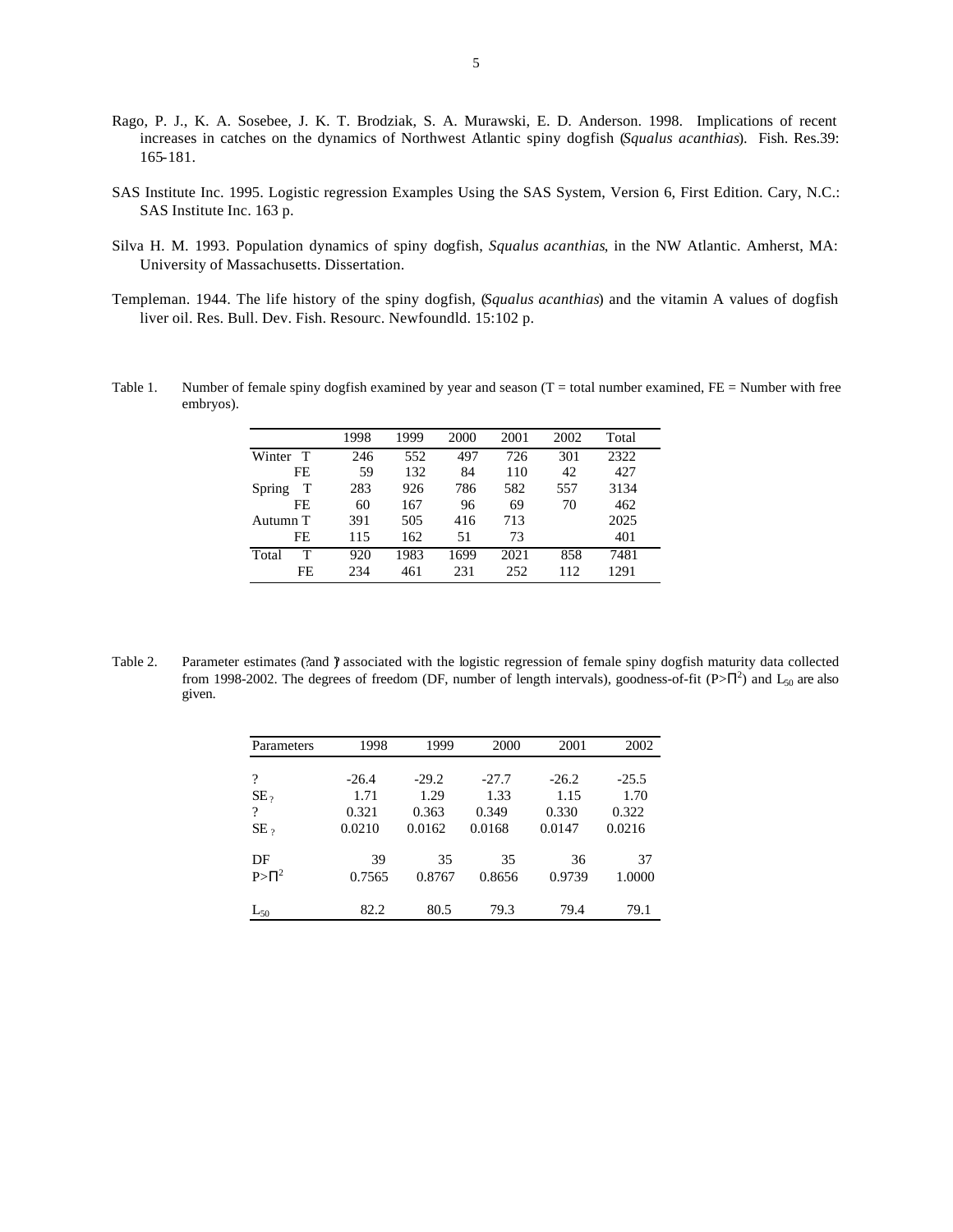- Rago, P. J., K. A. Sosebee, J. K. T. Brodziak, S. A. Murawski, E. D. Anderson. 1998. Implications of recent increases in catches on the dynamics of Northwest Atlantic spiny dogfish (*Squalus acanthias*). Fish. Res.39: 165-181.
- SAS Institute Inc. 1995. Logistic regression Examples Using the SAS System, Version 6, First Edition. Cary, N.C.: SAS Institute Inc. 163 p.
- Silva H. M. 1993. Population dynamics of spiny dogfish, *Squalus acanthias*, in the NW Atlantic. Amherst, MA: University of Massachusetts. Dissertation.
- Templeman. 1944. The life history of the spiny dogfish, (*Squalus acanthias*) and the vitamin A values of dogfish liver oil. Res. Bull. Dev. Fish. Resourc. Newfoundld. 15:102 p.
- Table 1. Number of female spiny dogfish examined by year and season  $(T = total$  number examined,  $FE =$  Number with free embryos).

|             | 1998 | 1999 | 2000 | 2001 | 2002 | Total |
|-------------|------|------|------|------|------|-------|
| T<br>Winter | 246  | 552  | 497  | 726  | 301  | 2322  |
| FE          | 59   | 132  | 84   | 110  | 42   | 427   |
| Т<br>Spring | 283  | 926  | 786  | 582  | 557  | 3134  |
| FE          | 60   | 167  | 96   | 69   | 70   | 462   |
| Autumn T    | 391  | 505  | 416  | 713  |      | 2025  |
| FE          | 115  | 162  | 51   | 73   |      | 401   |
| т<br>Total  | 920  | 1983 | 1699 | 2021 | 858  | 7481  |
| FE          | 234  | 461  | 231  | 252  | 112  | 1291  |

Table 2. Parameter estimates (?and ) associated with the logistic regression of female spiny dogfish maturity data collected from 1998-2002. The degrees of freedom (DF, number of length intervals), goodness-of-fit ( $P > \Pi^2$ ) and  $L_{50}$  are also given.

| Parameters  | 1998    | 1999    | 2000    | 2001    | 2002    |
|-------------|---------|---------|---------|---------|---------|
|             |         |         |         |         |         |
| ?           | $-26.4$ | $-29.2$ | $-27.7$ | $-26.2$ | $-25.5$ |
| $SE_{2}$    | 1.71    | 1.29    | 1.33    | 1.15    | 1.70    |
| ?           | 0.321   | 0.363   | 0.349   | 0.330   | 0.322   |
| $SE_{2}$    | 0.0210  | 0.0162  | 0.0168  | 0.0147  | 0.0216  |
| DF          | 39      | 35      | 35      | 36      | 37      |
| $P > \Pi^2$ | 0.7565  | 0.8767  | 0.8656  | 0.9739  | 1.0000  |
| $L_{50}$    | 82.2    | 80.5    | 79.3    | 79.4    | 79.1    |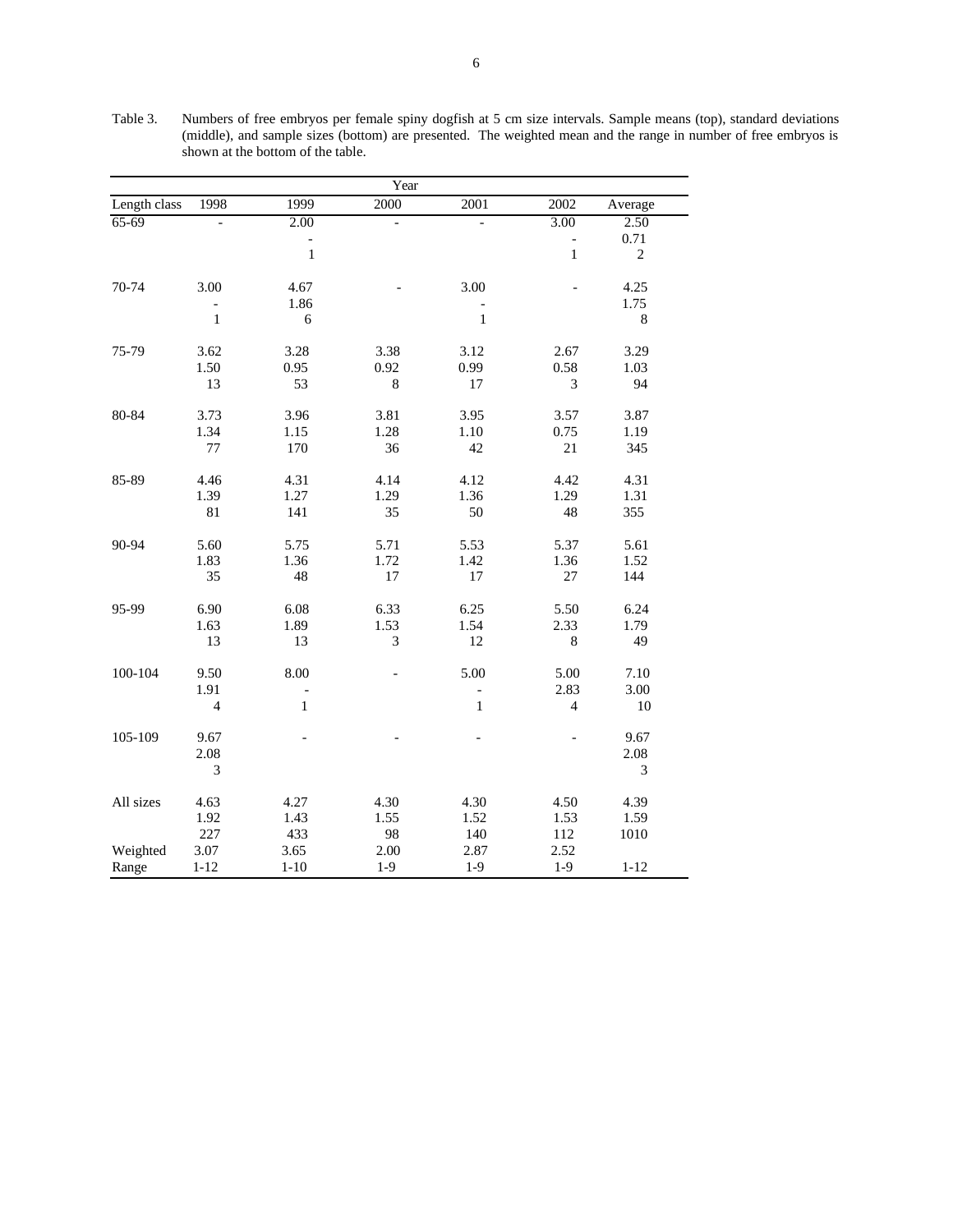| Year         |                          |          |                |              |                             |                |
|--------------|--------------------------|----------|----------------|--------------|-----------------------------|----------------|
| Length class | 1998                     | 1999     | 2000           | 2001         | 2002                        | Average        |
| $65-69$      | $\overline{\phantom{0}}$ | 2.00     | $\overline{a}$ |              | 3.00                        | 2.50           |
|              |                          | -        |                |              | $\overline{\phantom{0}}$    | 0.71           |
|              |                          | $\,1\,$  |                |              | $\mathbf{1}$                | $\overline{c}$ |
| 70-74        | 3.00                     | 4.67     |                | 3.00         |                             | 4.25           |
|              |                          | 1.86     |                |              |                             | 1.75           |
|              | $\mathbf 1$              | 6        |                | $\mathbf{1}$ |                             | $\,8\,$        |
| 75-79        | 3.62                     | 3.28     | 3.38           | 3.12         | 2.67                        | 3.29           |
|              | 1.50                     | 0.95     | 0.92           | 0.99         | 0.58                        | 1.03           |
|              | 13                       | 53       | $\,$ 8 $\,$    | 17           | $\ensuremath{\mathfrak{Z}}$ | 94             |
| 80-84        | 3.73                     | 3.96     | 3.81           | 3.95         | 3.57                        | 3.87           |
|              | 1.34                     | 1.15     | 1.28           | 1.10         | 0.75                        | 1.19           |
|              | $77 \,$                  | 170      | 36             | 42           | 21                          | 345            |
| 85-89        | 4.46                     | 4.31     | 4.14           | 4.12         | 4.42                        | 4.31           |
|              | 1.39                     | 1.27     | 1.29           | 1.36         | 1.29                        | 1.31           |
|              | 81                       | 141      | 35             | 50           | 48                          | 355            |
| 90-94        | 5.60                     | 5.75     | 5.71           | 5.53         | 5.37                        | 5.61           |
|              | 1.83                     | 1.36     | 1.72           | 1.42         | 1.36                        | 1.52           |
|              | 35                       | 48       | 17             | 17           | 27                          | 144            |
| 95-99        | 6.90                     | 6.08     | 6.33           | 6.25         | 5.50                        | 6.24           |
|              | 1.63                     | 1.89     | 1.53           | 1.54         | 2.33                        | 1.79           |
|              | 13                       | 13       | $\mathfrak{Z}$ | 12           | $\,8\,$                     | 49             |
| 100-104      | 9.50                     | 8.00     |                | 5.00         | 5.00                        | 7.10           |
|              | 1.91                     |          |                | -            | 2.83                        | 3.00           |
|              | $\overline{4}$           | $\,1$    |                | $\,1\,$      | $\overline{4}$              | $10\,$         |
| 105-109      | 9.67                     |          |                |              |                             | 9.67           |
|              | 2.08                     |          |                |              |                             | 2.08           |
|              | 3                        |          |                |              |                             | 3              |
| All sizes    | 4.63                     | 4.27     | 4.30           | 4.30         | 4.50                        | 4.39           |
|              | 1.92                     | 1.43     | 1.55           | 1.52         | 1.53                        | 1.59           |
|              | 227                      | 433      | 98             | 140          | 112                         | 1010           |
| Weighted     | 3.07                     | 3.65     | 2.00           | 2.87         | 2.52                        |                |
| Range        | $1 - 12$                 | $1 - 10$ | $1-9$          | $1-9$        | $1-9$                       | $1 - 12$       |

Table 3. Numbers of free embryos per female spiny dogfish at 5 cm size intervals. Sample means (top), standard deviations (middle), and sample sizes (bottom) are presented. The weighted mean and the range in number of free embryos is shown at the bottom of the table.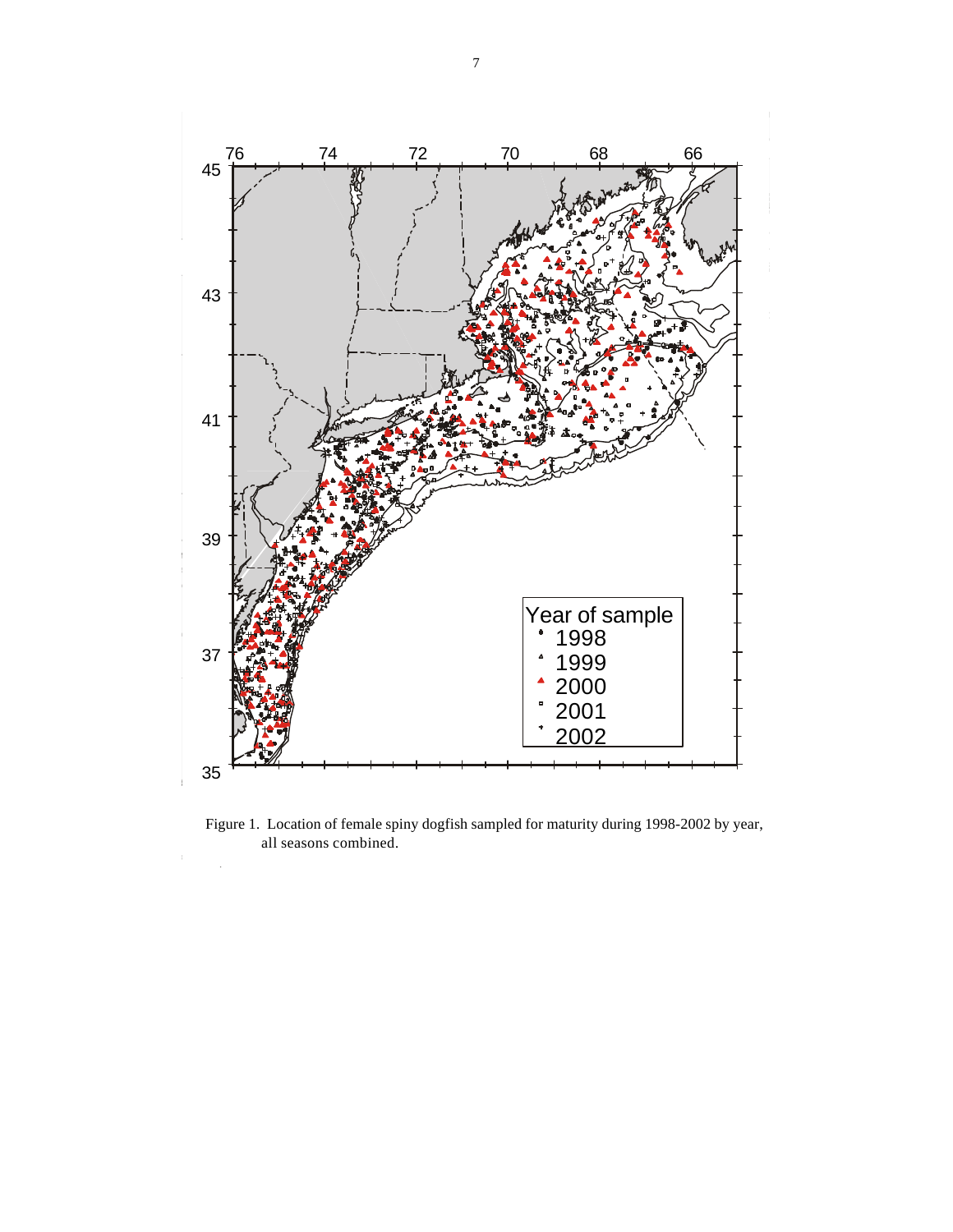

Figure 1. Location of female spiny dogfish sampled for maturity during 1998-2002 by year, all seasons combined.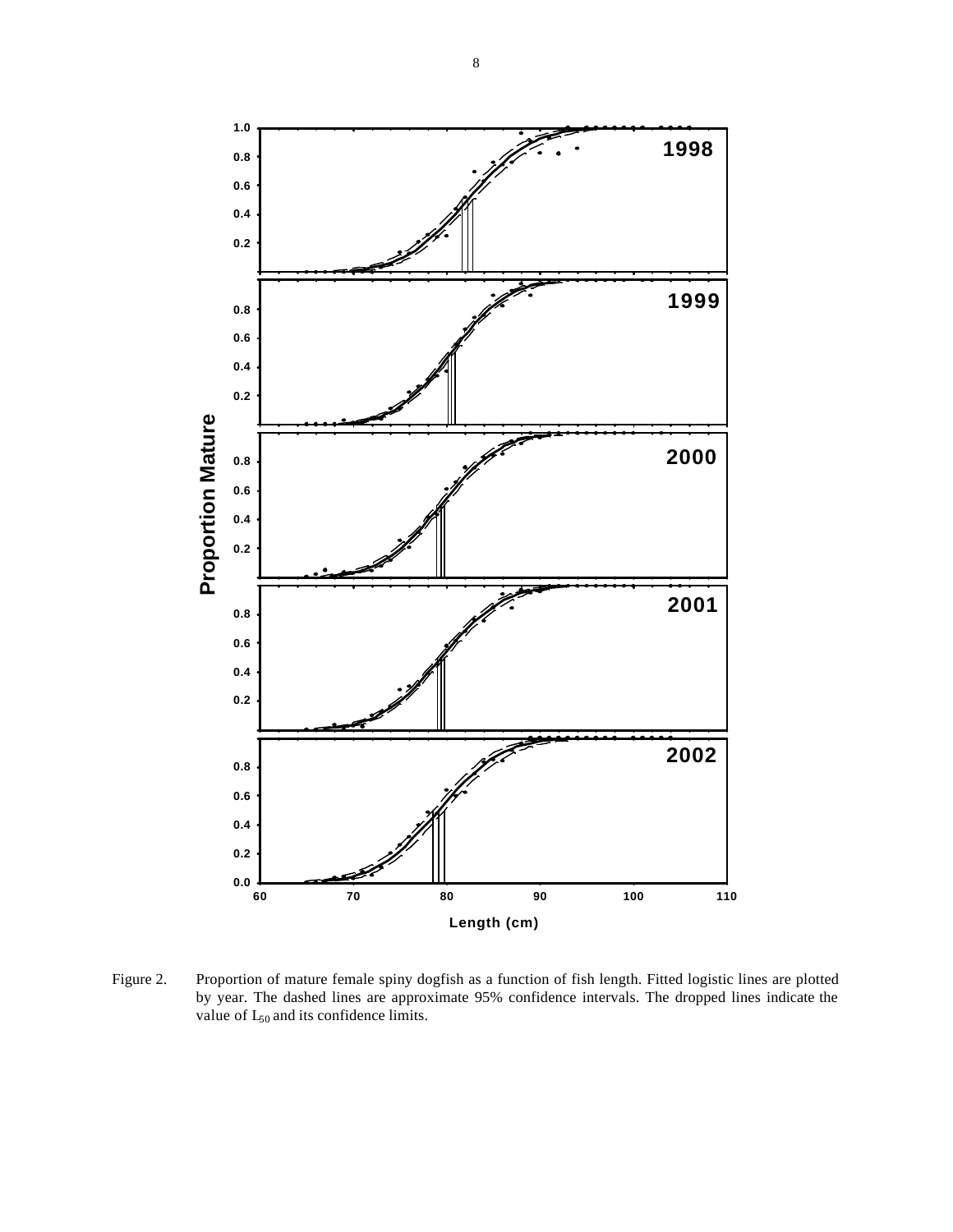

Figure 2. Proportion of mature female spiny dogfish as a function of fish length. Fitted logistic lines are plotted by year. The dashed lines are approximate 95% confidence intervals. The dropped lines indicate the value of  $L_{50}$  and its confidence limits.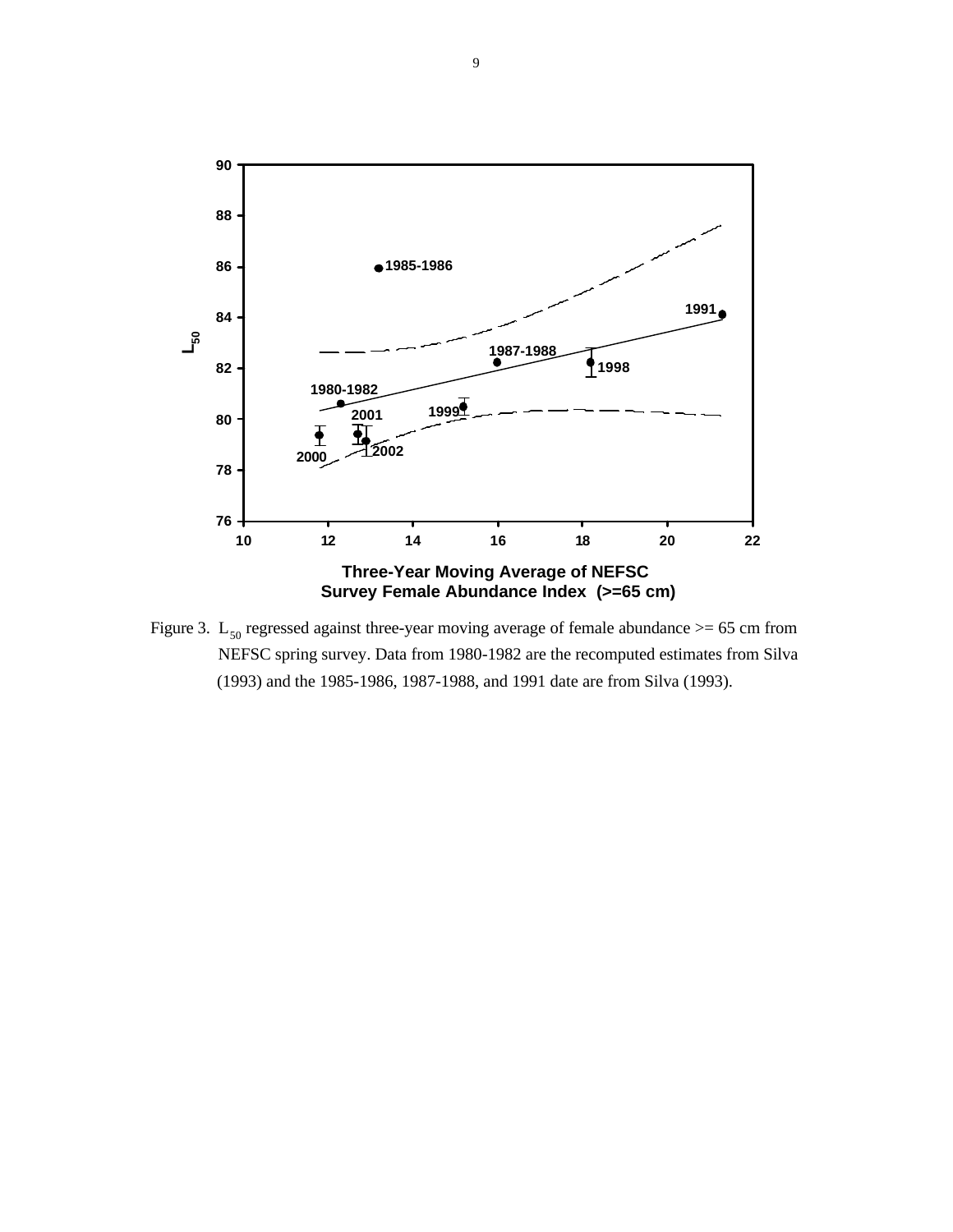

Figure 3.  $L_{50}$  regressed against three-year moving average of female abundance  $> = 65$  cm from NEFSC spring survey. Data from 1980-1982 are the recomputed estimates from Silva (1993) and the 1985-1986, 1987-1988, and 1991 date are from Silva (1993).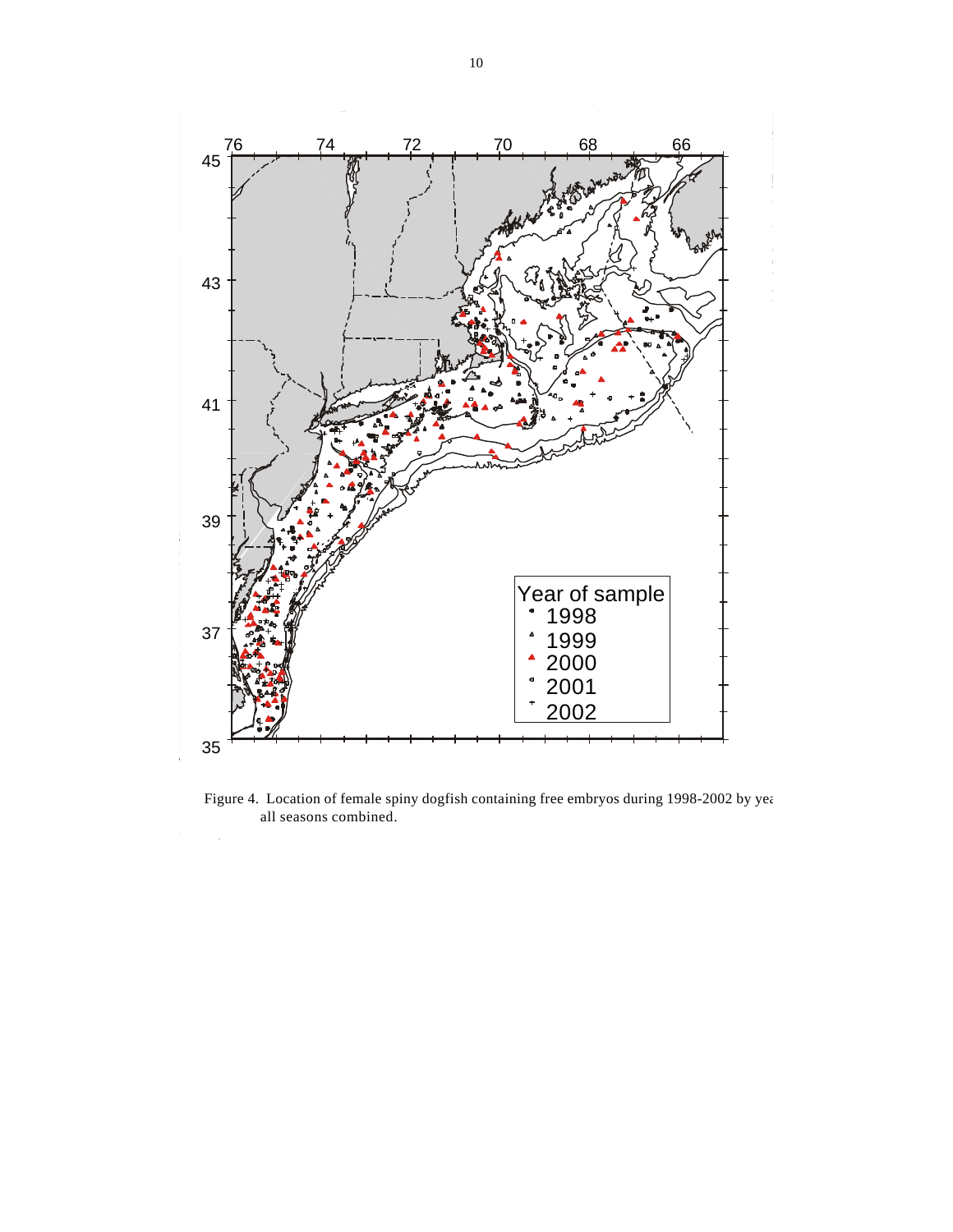

Figure 4. Location of female spiny dogfish containing free embryos during 1998-2002 by year all seasons combined.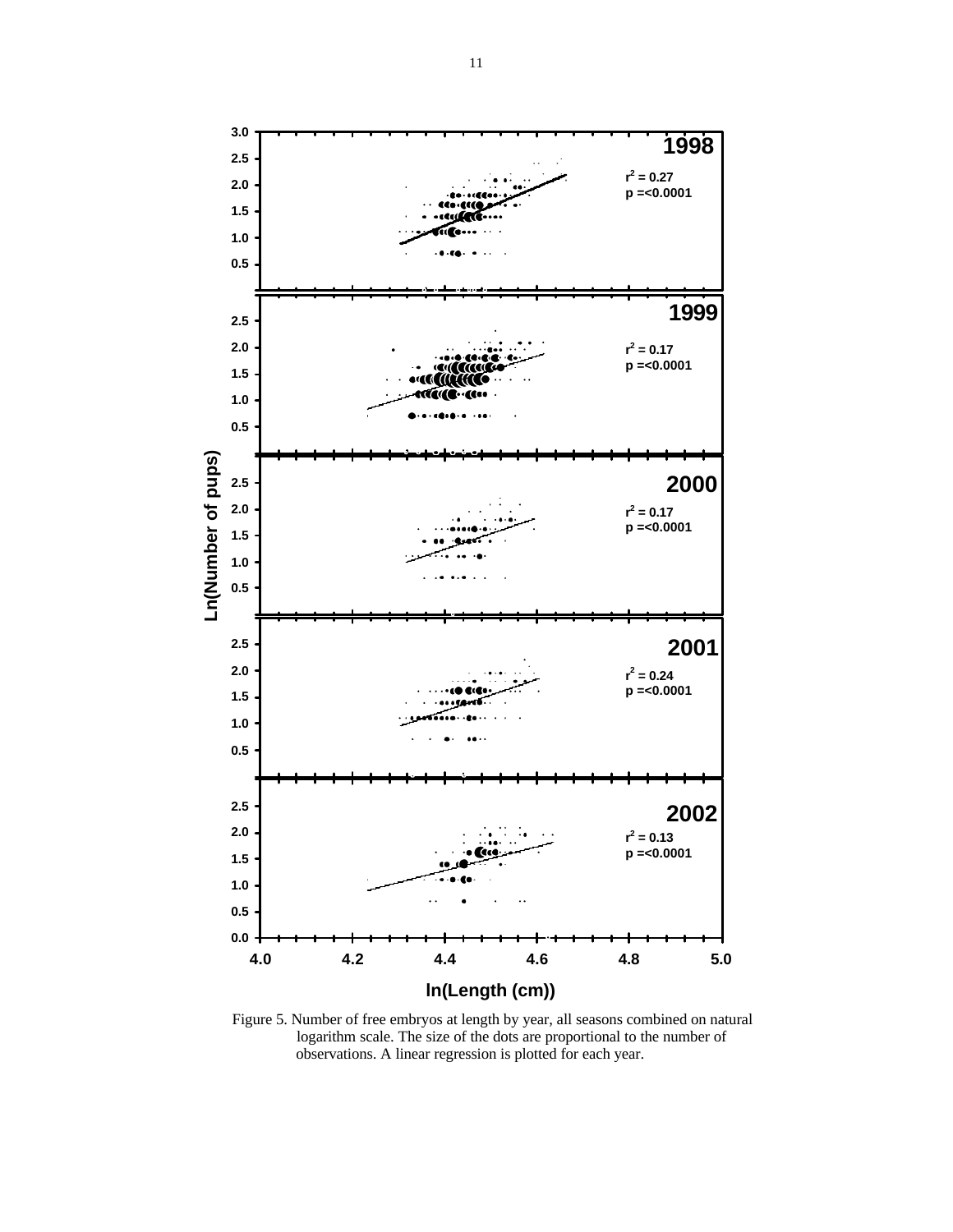

Figure 5. Number of free embryos at length by year, all seasons combined on natural logarithm scale. The size of the dots are proportional to the number of observations. A linear regression is plotted for each year.